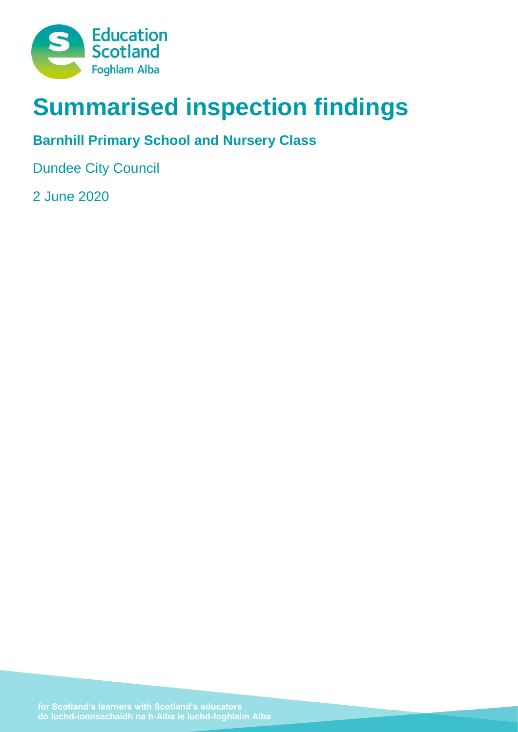

# **Summarised inspection findings**

# **Barnhill Primary School and Nursery Class**

Dundee City Council

2 June 2020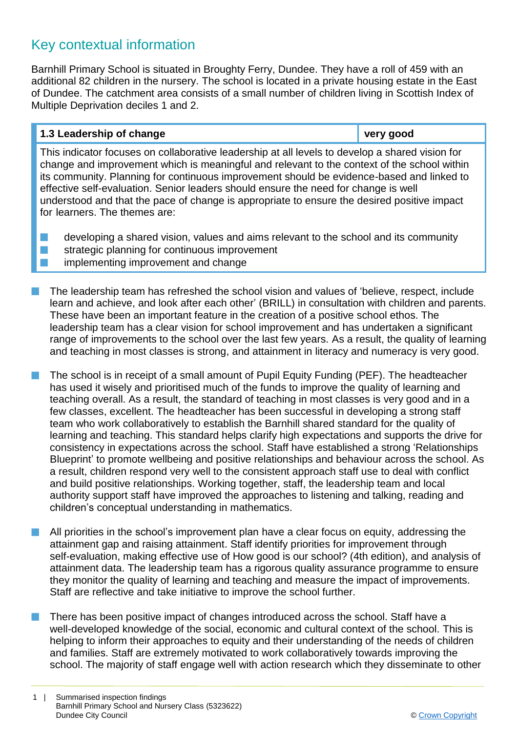# Key contextual information

Barnhill Primary School is situated in Broughty Ferry, Dundee. They have a roll of 459 with an additional 82 children in the nursery. The school is located in a private housing estate in the East of Dundee. The catchment area consists of a small number of children living in Scottish Index of Multiple Deprivation deciles 1 and 2.

# **1.3 Leadership of change very good**

This indicator focuses on collaborative leadership at all levels to develop a shared vision for change and improvement which is meaningful and relevant to the context of the school within its community. Planning for continuous improvement should be evidence-based and linked to effective self-evaluation. Senior leaders should ensure the need for change is well understood and that the pace of change is appropriate to ensure the desired positive impact for learners. The themes are:

- $\blacksquare$  developing a shared vision, values and aims relevant to the school and its community
- $\blacksquare$  strategic planning for continuous improvement
- **n** implementing improvement and change
- The leadership team has refreshed the school vision and values of 'believe, respect, include learn and achieve, and look after each other' (BRILL) in consultation with children and parents. These have been an important feature in the creation of a positive school ethos. The leadership team has a clear vision for school improvement and has undertaken a significant range of improvements to the school over the last few years. As a result, the quality of learning and teaching in most classes is strong, and attainment in literacy and numeracy is very good.
- The school is in receipt of a small amount of Pupil Equity Funding (PEF). The headteacher has used it wisely and prioritised much of the funds to improve the quality of learning and teaching overall. As a result, the standard of teaching in most classes is very good and in a few classes, excellent. The headteacher has been successful in developing a strong staff team who work collaboratively to establish the Barnhill shared standard for the quality of learning and teaching. This standard helps clarify high expectations and supports the drive for consistency in expectations across the school. Staff have established a strong 'Relationships Blueprint' to promote wellbeing and positive relationships and behaviour across the school. As a result, children respond very well to the consistent approach staff use to deal with conflict and build positive relationships. Working together, staff, the leadership team and local authority support staff have improved the approaches to listening and talking, reading and children's conceptual understanding in mathematics.
- All priorities in the school's improvement plan have a clear focus on equity, addressing the attainment gap and raising attainment. Staff identify priorities for improvement through self-evaluation, making effective use of How good is our school? (4th edition), and analysis of attainment data. The leadership team has a rigorous quality assurance programme to ensure they monitor the quality of learning and teaching and measure the impact of improvements. Staff are reflective and take initiative to improve the school further.
- There has been positive impact of changes introduced across the school. Staff have a well-developed knowledge of the social, economic and cultural context of the school. This is helping to inform their approaches to equity and their understanding of the needs of children and families. Staff are extremely motivated to work collaboratively towards improving the school. The majority of staff engage well with action research which they disseminate to other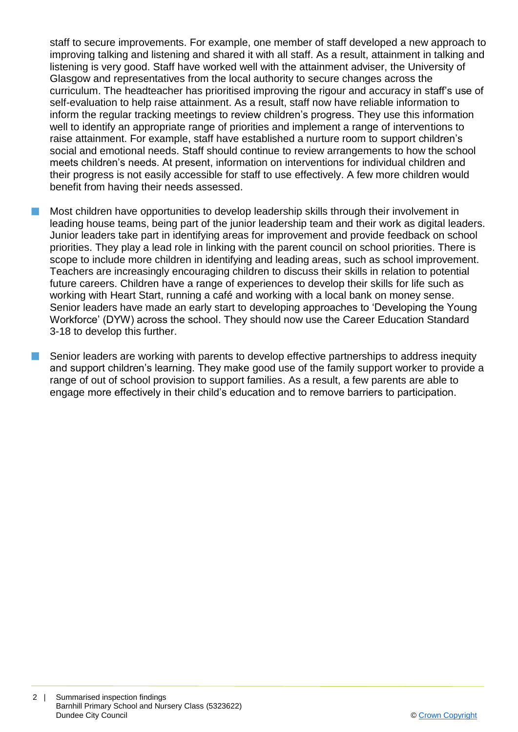staff to secure improvements. For example, one member of staff developed a new approach to improving talking and listening and shared it with all staff. As a result, attainment in talking and listening is very good. Staff have worked well with the attainment adviser, the University of Glasgow and representatives from the local authority to secure changes across the curriculum. The headteacher has prioritised improving the rigour and accuracy in staff's use of self-evaluation to help raise attainment. As a result, staff now have reliable information to inform the regular tracking meetings to review children's progress. They use this information well to identify an appropriate range of priorities and implement a range of interventions to raise attainment. For example, staff have established a nurture room to support children's social and emotional needs. Staff should continue to review arrangements to how the school meets children's needs. At present, information on interventions for individual children and their progress is not easily accessible for staff to use effectively. A few more children would benefit from having their needs assessed.

n Most children have opportunities to develop leadership skills through their involvement in leading house teams, being part of the junior leadership team and their work as digital leaders. Junior leaders take part in identifying areas for improvement and provide feedback on school priorities. They play a lead role in linking with the parent council on school priorities. There is scope to include more children in identifying and leading areas, such as school improvement. Teachers are increasingly encouraging children to discuss their skills in relation to potential future careers. Children have a range of experiences to develop their skills for life such as working with Heart Start, running a café and working with a local bank on money sense. Senior leaders have made an early start to developing approaches to 'Developing the Young Workforce' (DYW) across the school. They should now use the Career Education Standard 3-18 to develop this further.

Senior leaders are working with parents to develop effective partnerships to address inequity and support children's learning. They make good use of the family support worker to provide a range of out of school provision to support families. As a result, a few parents are able to engage more effectively in their child's education and to remove barriers to participation.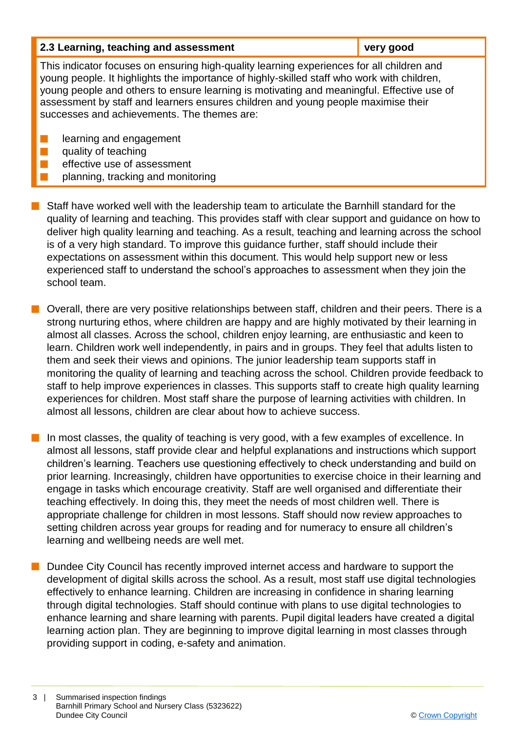| 2.3 Learning, teaching and assessment                                                                                                                                                                                                                                                                                                                                                                                    | very good |  |
|--------------------------------------------------------------------------------------------------------------------------------------------------------------------------------------------------------------------------------------------------------------------------------------------------------------------------------------------------------------------------------------------------------------------------|-----------|--|
| This indicator focuses on ensuring high-quality learning experiences for all children and<br>young people. It highlights the importance of highly-skilled staff who work with children,<br>young people and others to ensure learning is motivating and meaningful. Effective use of<br>assessment by staff and learners ensures children and young people maximise their<br>successes and achievements. The themes are: |           |  |
| learning and engagement<br>quality of teaching<br>effective use of assessment<br>planning, tracking and monitoring                                                                                                                                                                                                                                                                                                       |           |  |

 $\blacksquare$  Staff have worked well with the leadership team to articulate the Barnhill standard for the quality of learning and teaching. This provides staff with clear support and guidance on how to deliver high quality learning and teaching. As a result, teaching and learning across the school is of a very high standard. To improve this guidance further, staff should include their expectations on assessment within this document. This would help support new or less experienced staff to understand the school's approaches to assessment when they join the school team.

 $\blacksquare$  Overall, there are very positive relationships between staff, children and their peers. There is a strong nurturing ethos, where children are happy and are highly motivated by their learning in almost all classes. Across the school, children enjoy learning, are enthusiastic and keen to learn. Children work well independently, in pairs and in groups. They feel that adults listen to them and seek their views and opinions. The junior leadership team supports staff in monitoring the quality of learning and teaching across the school. Children provide feedback to staff to help improve experiences in classes. This supports staff to create high quality learning experiences for children. Most staff share the purpose of learning activities with children. In almost all lessons, children are clear about how to achieve success.

In most classes, the quality of teaching is very good, with a few examples of excellence. In almost all lessons, staff provide clear and helpful explanations and instructions which support children's learning. Teachers use questioning effectively to check understanding and build on prior learning. Increasingly, children have opportunities to exercise choice in their learning and engage in tasks which encourage creativity. Staff are well organised and differentiate their teaching effectively. In doing this, they meet the needs of most children well. There is appropriate challenge for children in most lessons. Staff should now review approaches to setting children across year groups for reading and for numeracy to ensure all children's learning and wellbeing needs are well met.

Dundee City Council has recently improved internet access and hardware to support the development of digital skills across the school. As a result, most staff use digital technologies effectively to enhance learning. Children are increasing in confidence in sharing learning through digital technologies. Staff should continue with plans to use digital technologies to enhance learning and share learning with parents. Pupil digital leaders have created a digital learning action plan. They are beginning to improve digital learning in most classes through providing support in coding, e-safety and animation.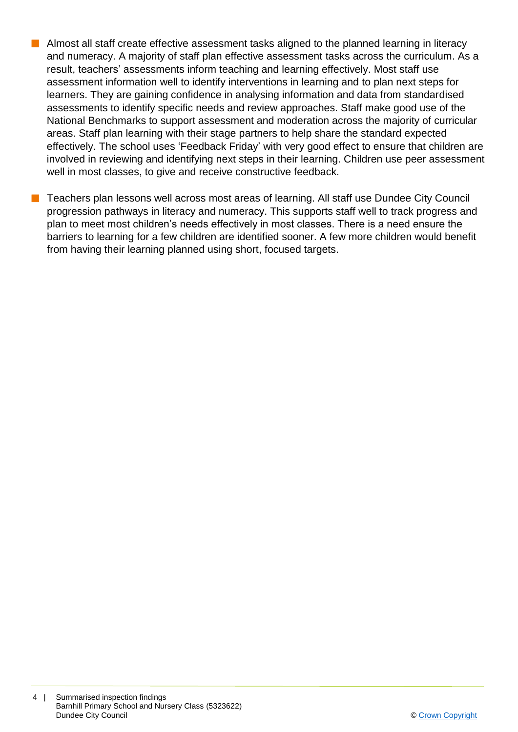- **n** Almost all staff create effective assessment tasks aligned to the planned learning in literacy and numeracy. A majority of staff plan effective assessment tasks across the curriculum. As a result, teachers' assessments inform teaching and learning effectively. Most staff use assessment information well to identify interventions in learning and to plan next steps for learners. They are gaining confidence in analysing information and data from standardised assessments to identify specific needs and review approaches. Staff make good use of the National Benchmarks to support assessment and moderation across the majority of curricular areas. Staff plan learning with their stage partners to help share the standard expected effectively. The school uses 'Feedback Friday' with very good effect to ensure that children are involved in reviewing and identifying next steps in their learning. Children use peer assessment well in most classes, to give and receive constructive feedback.
	- n Teachers plan lessons well across most areas of learning. All staff use Dundee City Council progression pathways in literacy and numeracy. This supports staff well to track progress and plan to meet most children's needs effectively in most classes. There is a need ensure the barriers to learning for a few children are identified sooner. A few more children would benefit from having their learning planned using short, focused targets.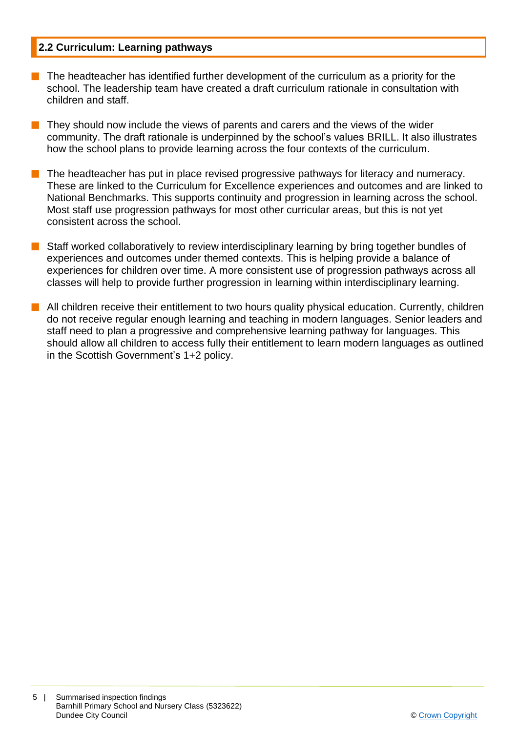## **2.2 Curriculum: Learning pathways**

- n The headteacher has identified further development of the curriculum as a priority for the school. The leadership team have created a draft curriculum rationale in consultation with children and staff.
- $\blacksquare$  They should now include the views of parents and carers and the views of the wider community. The draft rationale is underpinned by the school's values BRILL. It also illustrates how the school plans to provide learning across the four contexts of the curriculum.
- The headteacher has put in place revised progressive pathways for literacy and numeracy. These are linked to the Curriculum for Excellence experiences and outcomes and are linked to National Benchmarks. This supports continuity and progression in learning across the school. Most staff use progression pathways for most other curricular areas, but this is not yet consistent across the school.
- Staff worked collaboratively to review interdisciplinary learning by bring together bundles of experiences and outcomes under themed contexts. This is helping provide a balance of experiences for children over time. A more consistent use of progression pathways across all classes will help to provide further progression in learning within interdisciplinary learning.
- **n** All children receive their entitlement to two hours quality physical education. Currently, children do not receive regular enough learning and teaching in modern languages. Senior leaders and staff need to plan a progressive and comprehensive learning pathway for languages. This should allow all children to access fully their entitlement to learn modern languages as outlined in the Scottish Government's 1+2 policy.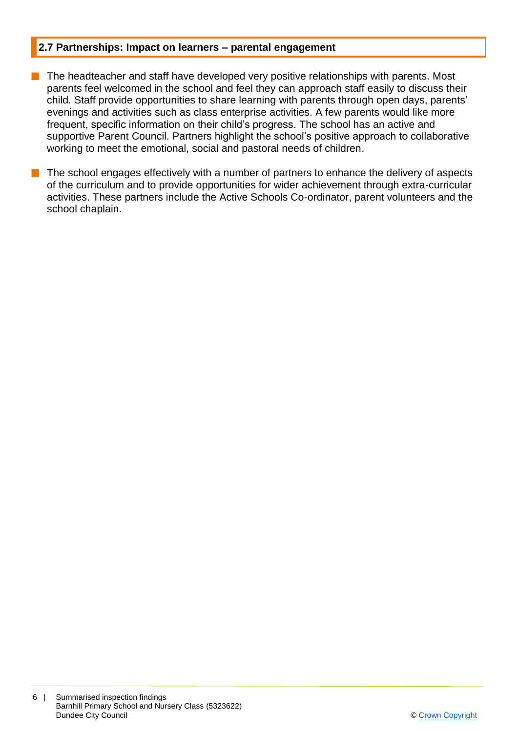#### **2.7 Partnerships: Impact on learners – parental engagement**

- The headteacher and staff have developed very positive relationships with parents. Most parents feel welcomed in the school and feel they can approach staff easily to discuss their child. Staff provide opportunities to share learning with parents through open days, parents' evenings and activities such as class enterprise activities. A few parents would like more frequent, specific information on their child's progress. The school has an active and supportive Parent Council. Partners highlight the school's positive approach to collaborative working to meet the emotional, social and pastoral needs of children.
- The school engages effectively with a number of partners to enhance the delivery of aspects of the curriculum and to provide opportunities for wider achievement through extra-curricular activities. These partners include the Active Schools Co-ordinator, parent volunteers and the school chaplain.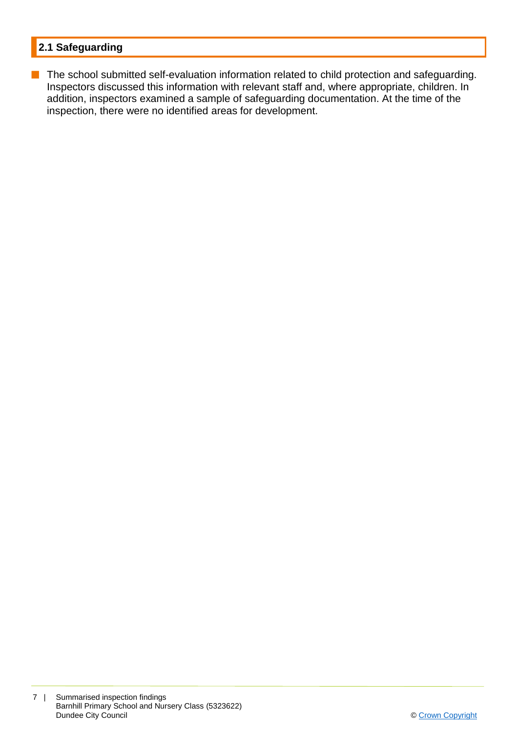# **2.1 Safeguarding**

**n** The school submitted self-evaluation information related to child protection and safeguarding. Inspectors discussed this information with relevant staff and, where appropriate, children. In addition, inspectors examined a sample of safeguarding documentation. At the time of the inspection, there were no identified areas for development.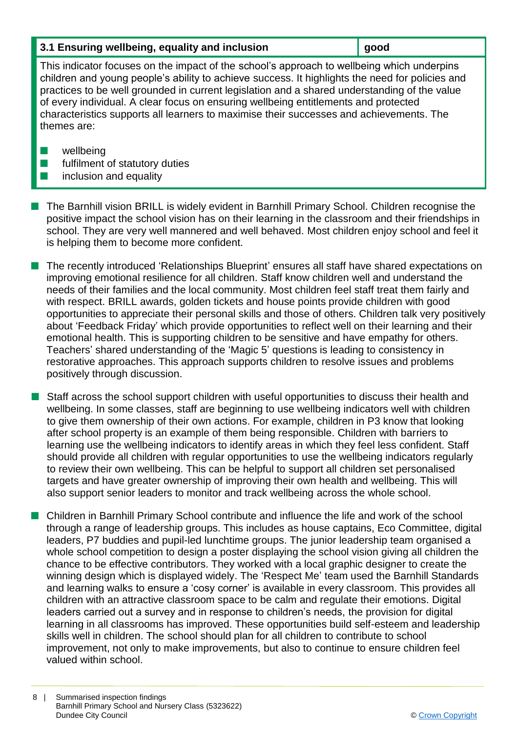### **3.1 Ensuring wellbeing, equality and inclusion <b>good good**

This indicator focuses on the impact of the school's approach to wellbeing which underpins children and young people's ability to achieve success. It highlights the need for policies and practices to be well grounded in current legislation and a shared understanding of the value of every individual. A clear focus on ensuring wellbeing entitlements and protected characteristics supports all learners to maximise their successes and achievements. The themes are:

- $\blacksquare$  wellbeing
- $\blacksquare$  fulfilment of statutory duties
- $\blacksquare$  inclusion and equality
- n The Barnhill vision BRILL is widely evident in Barnhill Primary School. Children recognise the positive impact the school vision has on their learning in the classroom and their friendships in school. They are very well mannered and well behaved. Most children enjoy school and feel it is helping them to become more confident.
- n The recently introduced 'Relationships Blueprint' ensures all staff have shared expectations on improving emotional resilience for all children. Staff know children well and understand the needs of their families and the local community. Most children feel staff treat them fairly and with respect. BRILL awards, golden tickets and house points provide children with good opportunities to appreciate their personal skills and those of others. Children talk very positively about 'Feedback Friday' which provide opportunities to reflect well on their learning and their emotional health. This is supporting children to be sensitive and have empathy for others. Teachers' shared understanding of the 'Magic 5' questions is leading to consistency in restorative approaches. This approach supports children to resolve issues and problems positively through discussion.
- **Notatally Staff across the school support children with useful opportunities to discuss their health and** wellbeing. In some classes, staff are beginning to use wellbeing indicators well with children to give them ownership of their own actions. For example, children in P3 know that looking after school property is an example of them being responsible. Children with barriers to learning use the wellbeing indicators to identify areas in which they feel less confident. Staff should provide all children with regular opportunities to use the wellbeing indicators regularly to review their own wellbeing. This can be helpful to support all children set personalised targets and have greater ownership of improving their own health and wellbeing. This will also support senior leaders to monitor and track wellbeing across the whole school.
- n Children in Barnhill Primary School contribute and influence the life and work of the school through a range of leadership groups. This includes as house captains, Eco Committee, digital leaders, P7 buddies and pupil-led lunchtime groups. The junior leadership team organised a whole school competition to design a poster displaying the school vision giving all children the chance to be effective contributors. They worked with a local graphic designer to create the winning design which is displayed widely. The 'Respect Me' team used the Barnhill Standards and learning walks to ensure a 'cosy corner' is available in every classroom. This provides all children with an attractive classroom space to be calm and regulate their emotions. Digital leaders carried out a survey and in response to children's needs, the provision for digital learning in all classrooms has improved. These opportunities build self-esteem and leadership skills well in children. The school should plan for all children to contribute to school improvement, not only to make improvements, but also to continue to ensure children feel valued within school.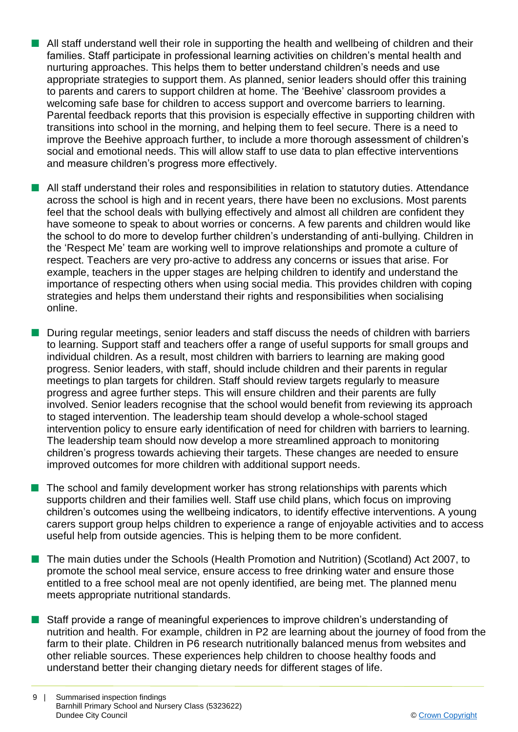- **n** All staff understand well their role in supporting the health and wellbeing of children and their families. Staff participate in professional learning activities on children's mental health and nurturing approaches. This helps them to better understand children's needs and use appropriate strategies to support them. As planned, senior leaders should offer this training to parents and carers to support children at home. The 'Beehive' classroom provides a welcoming safe base for children to access support and overcome barriers to learning. Parental feedback reports that this provision is especially effective in supporting children with transitions into school in the morning, and helping them to feel secure. There is a need to improve the Beehive approach further, to include a more thorough assessment of children's social and emotional needs. This will allow staff to use data to plan effective interventions and measure children's progress more effectively.
- All staff understand their roles and responsibilities in relation to statutory duties. Attendance across the school is high and in recent years, there have been no exclusions. Most parents feel that the school deals with bullying effectively and almost all children are confident they have someone to speak to about worries or concerns. A few parents and children would like the school to do more to develop further children's understanding of anti-bullying. Children in the 'Respect Me' team are working well to improve relationships and promote a culture of respect. Teachers are very pro-active to address any concerns or issues that arise. For example, teachers in the upper stages are helping children to identify and understand the importance of respecting others when using social media. This provides children with coping strategies and helps them understand their rights and responsibilities when socialising online.
- During regular meetings, senior leaders and staff discuss the needs of children with barriers to learning. Support staff and teachers offer a range of useful supports for small groups and individual children. As a result, most children with barriers to learning are making good progress. Senior leaders, with staff, should include children and their parents in regular meetings to plan targets for children. Staff should review targets regularly to measure progress and agree further steps. This will ensure children and their parents are fully involved. Senior leaders recognise that the school would benefit from reviewing its approach to staged intervention. The leadership team should develop a whole-school staged intervention policy to ensure early identification of need for children with barriers to learning. The leadership team should now develop a more streamlined approach to monitoring children's progress towards achieving their targets. These changes are needed to ensure improved outcomes for more children with additional support needs.
- The school and family development worker has strong relationships with parents which supports children and their families well. Staff use child plans, which focus on improving children's outcomes using the wellbeing indicators, to identify effective interventions. A young carers support group helps children to experience a range of enjoyable activities and to access useful help from outside agencies. This is helping them to be more confident.
- The main duties under the Schools (Health Promotion and Nutrition) (Scotland) Act 2007, to promote the school meal service, ensure access to free drinking water and ensure those entitled to a free school meal are not openly identified, are being met. The planned menu meets appropriate nutritional standards.
- **n** Staff provide a range of meaningful experiences to improve children's understanding of nutrition and health. For example, children in P2 are learning about the journey of food from the farm to their plate. Children in P6 research nutritionally balanced menus from websites and other reliable sources. These experiences help children to choose healthy foods and understand better their changing dietary needs for different stages of life.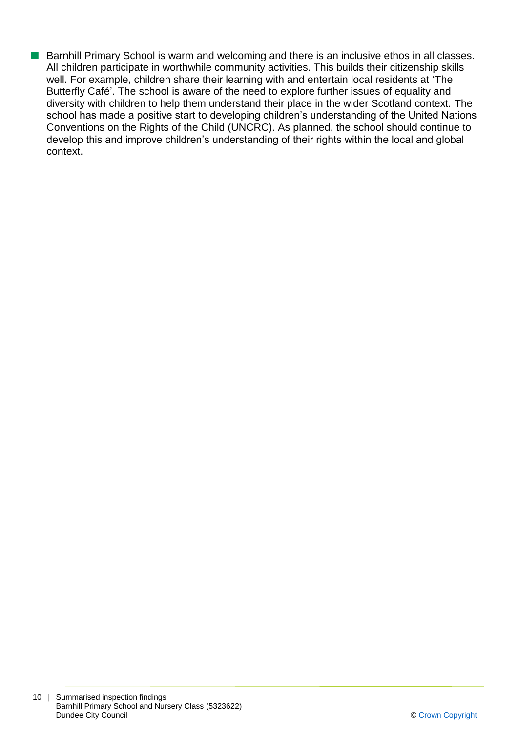■ Barnhill Primary School is warm and welcoming and there is an inclusive ethos in all classes. All children participate in worthwhile community activities. This builds their citizenship skills well. For example, children share their learning with and entertain local residents at 'The Butterfly Café'. The school is aware of the need to explore further issues of equality and diversity with children to help them understand their place in the wider Scotland context. The school has made a positive start to developing children's understanding of the United Nations Conventions on the Rights of the Child (UNCRC). As planned, the school should continue to develop this and improve children's understanding of their rights within the local and global context.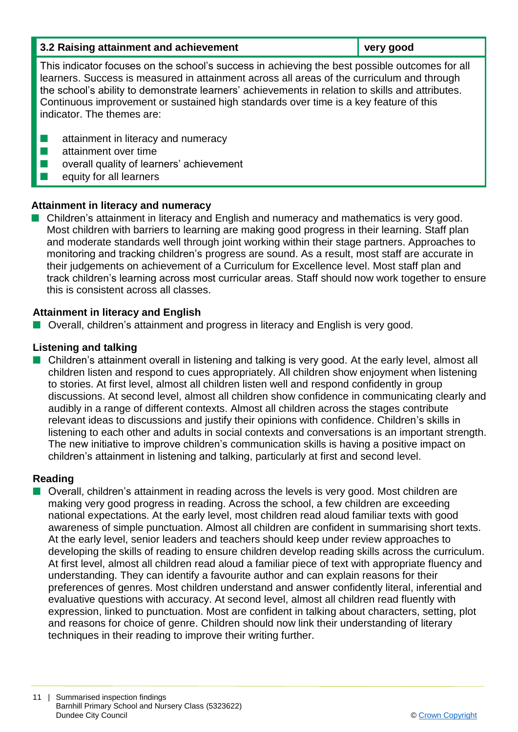| 3.2 Raising attainment and achievement                                                                                                                                                                                                                                                                                                                                                                                  | very good |  |
|-------------------------------------------------------------------------------------------------------------------------------------------------------------------------------------------------------------------------------------------------------------------------------------------------------------------------------------------------------------------------------------------------------------------------|-----------|--|
| This indicator focuses on the school's success in achieving the best possible outcomes for all<br>learners. Success is measured in attainment across all areas of the curriculum and through<br>the school's ability to demonstrate learners' achievements in relation to skills and attributes.<br>Continuous improvement or sustained high standards over time is a key feature of this<br>indicator. The themes are: |           |  |
| attainment in literacy and numeracy<br>attainment over time<br>overall quality of learners' achievement<br>equity for all learners                                                                                                                                                                                                                                                                                      |           |  |

# **Attainment in literacy and numeracy**

■ Children's attainment in literacy and English and numeracy and mathematics is very good. Most children with barriers to learning are making good progress in their learning. Staff plan and moderate standards well through joint working within their stage partners. Approaches to monitoring and tracking children's progress are sound. As a result, most staff are accurate in their judgements on achievement of a Curriculum for Excellence level. Most staff plan and track children's learning across most curricular areas. Staff should now work together to ensure this is consistent across all classes.

## **Attainment in literacy and English**

■ Overall, children's attainment and progress in literacy and English is very good.

#### **Listening and talking**

■ Children's attainment overall in listening and talking is very good. At the early level, almost all children listen and respond to cues appropriately. All children show enjoyment when listening to stories. At first level, almost all children listen well and respond confidently in group discussions. At second level, almost all children show confidence in communicating clearly and audibly in a range of different contexts. Almost all children across the stages contribute relevant ideas to discussions and justify their opinions with confidence. Children's skills in listening to each other and adults in social contexts and conversations is an important strength. The new initiative to improve children's communication skills is having a positive impact on children's attainment in listening and talking, particularly at first and second level.

#### **Reading**

■ Overall, children's attainment in reading across the levels is very good. Most children are making very good progress in reading. Across the school, a few children are exceeding national expectations. At the early level, most children read aloud familiar texts with good awareness of simple punctuation. Almost all children are confident in summarising short texts. At the early level, senior leaders and teachers should keep under review approaches to developing the skills of reading to ensure children develop reading skills across the curriculum. At first level, almost all children read aloud a familiar piece of text with appropriate fluency and understanding. They can identify a favourite author and can explain reasons for their preferences of genres. Most children understand and answer confidently literal, inferential and evaluative questions with accuracy. At second level, almost all children read fluently with expression, linked to punctuation. Most are confident in talking about characters, setting, plot and reasons for choice of genre. Children should now link their understanding of literary techniques in their reading to improve their writing further.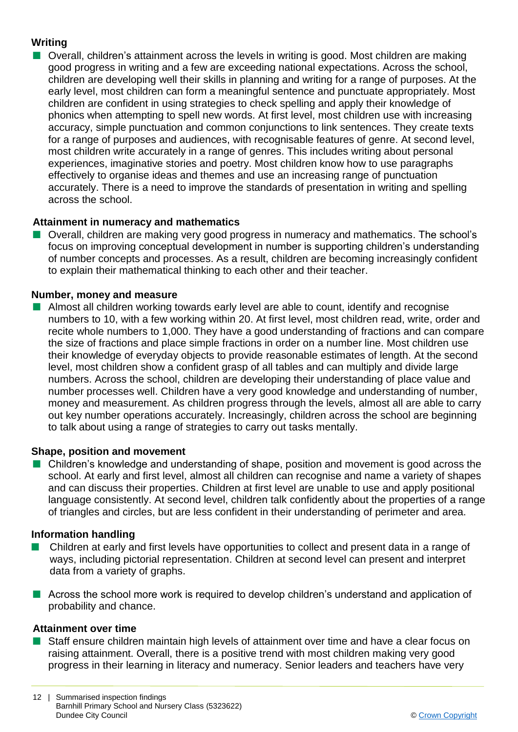# **Writing**

■ Overall, children's attainment across the levels in writing is good. Most children are making good progress in writing and a few are exceeding national expectations. Across the school, children are developing well their skills in planning and writing for a range of purposes. At the early level, most children can form a meaningful sentence and punctuate appropriately. Most children are confident in using strategies to check spelling and apply their knowledge of phonics when attempting to spell new words. At first level, most children use with increasing accuracy, simple punctuation and common conjunctions to link sentences. They create texts for a range of purposes and audiences, with recognisable features of genre. At second level, most children write accurately in a range of genres. This includes writing about personal experiences, imaginative stories and poetry. Most children know how to use paragraphs effectively to organise ideas and themes and use an increasing range of punctuation accurately. There is a need to improve the standards of presentation in writing and spelling across the school.

# **Attainment in numeracy and mathematics**

**n** Overall, children are making very good progress in numeracy and mathematics. The school's focus on improving conceptual development in number is supporting children's understanding of number concepts and processes. As a result, children are becoming increasingly confident to explain their mathematical thinking to each other and their teacher.

# **Number, money and measure**

**n** Almost all children working towards early level are able to count, identify and recognise numbers to 10, with a few working within 20. At first level, most children read, write, order and recite whole numbers to 1,000. They have a good understanding of fractions and can compare the size of fractions and place simple fractions in order on a number line. Most children use their knowledge of everyday objects to provide reasonable estimates of length. At the second level, most children show a confident grasp of all tables and can multiply and divide large numbers. Across the school, children are developing their understanding of place value and number processes well. Children have a very good knowledge and understanding of number, money and measurement. As children progress through the levels, almost all are able to carry out key number operations accurately. Increasingly, children across the school are beginning to talk about using a range of strategies to carry out tasks mentally.

# **Shape, position and movement**

**n** Children's knowledge and understanding of shape, position and movement is good across the school. At early and first level, almost all children can recognise and name a variety of shapes and can discuss their properties. Children at first level are unable to use and apply positional language consistently. At second level, children talk confidently about the properties of a range of triangles and circles, but are less confident in their understanding of perimeter and area.

# **Information handling**

- n Children at early and first levels have opportunities to collect and present data in a range of ways, including pictorial representation. Children at second level can present and interpret data from a variety of graphs.
- **n** Across the school more work is required to develop children's understand and application of probability and chance.

# **Attainment over time**

■ Staff ensure children maintain high levels of attainment over time and have a clear focus on raising attainment. Overall, there is a positive trend with most children making very good progress in their learning in literacy and numeracy. Senior leaders and teachers have very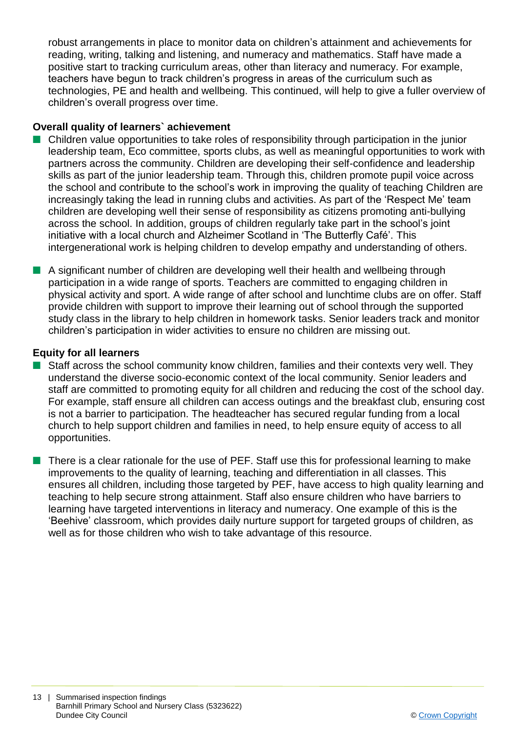robust arrangements in place to monitor data on children's attainment and achievements for reading, writing, talking and listening, and numeracy and mathematics. Staff have made a positive start to tracking curriculum areas, other than literacy and numeracy. For example, teachers have begun to track children's progress in areas of the curriculum such as technologies, PE and health and wellbeing. This continued, will help to give a fuller overview of children's overall progress over time.

### **Overall quality of learners` achievement**

- $\blacksquare$  Children value opportunities to take roles of responsibility through participation in the junior leadership team, Eco committee, sports clubs, as well as meaningful opportunities to work with partners across the community. Children are developing their self-confidence and leadership skills as part of the junior leadership team. Through this, children promote pupil voice across the school and contribute to the school's work in improving the quality of teaching Children are increasingly taking the lead in running clubs and activities. As part of the 'Respect Me' team children are developing well their sense of responsibility as citizens promoting anti-bullying across the school. In addition, groups of children regularly take part in the school's joint initiative with a local church and Alzheimer Scotland in 'The Butterfly Café'. This intergenerational work is helping children to develop empathy and understanding of others.
- n A significant number of children are developing well their health and wellbeing through participation in a wide range of sports. Teachers are committed to engaging children in physical activity and sport. A wide range of after school and lunchtime clubs are on offer. Staff provide children with support to improve their learning out of school through the supported study class in the library to help children in homework tasks. Senior leaders track and monitor children's participation in wider activities to ensure no children are missing out.

#### **Equity for all learners**

- $\blacksquare$  Staff across the school community know children, families and their contexts very well. They understand the diverse socio-economic context of the local community. Senior leaders and staff are committed to promoting equity for all children and reducing the cost of the school day. For example, staff ensure all children can access outings and the breakfast club, ensuring cost is not a barrier to participation. The headteacher has secured regular funding from a local church to help support children and families in need, to help ensure equity of access to all opportunities.
- $\blacksquare$  There is a clear rationale for the use of PEF. Staff use this for professional learning to make improvements to the quality of learning, teaching and differentiation in all classes. This ensures all children, including those targeted by PEF, have access to high quality learning and teaching to help secure strong attainment. Staff also ensure children who have barriers to learning have targeted interventions in literacy and numeracy. One example of this is the 'Beehive' classroom, which provides daily nurture support for targeted groups of children, as well as for those children who wish to take advantage of this resource.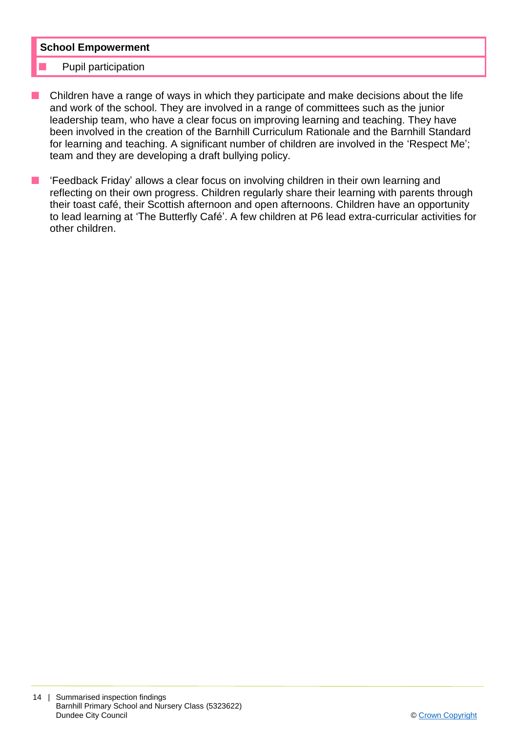#### **School Empowerment**

#### Pupil participation

- Children have a range of ways in which they participate and make decisions about the life and work of the school. They are involved in a range of committees such as the junior leadership team, who have a clear focus on improving learning and teaching. They have been involved in the creation of the Barnhill Curriculum Rationale and the Barnhill Standard for learning and teaching. A significant number of children are involved in the 'Respect Me'; team and they are developing a draft bullying policy.
- 'Feedback Friday' allows a clear focus on involving children in their own learning and reflecting on their own progress. Children regularly share their learning with parents through their toast café, their Scottish afternoon and open afternoons. Children have an opportunity to lead learning at 'The Butterfly Café'. A few children at P6 lead extra-curricular activities for other children.